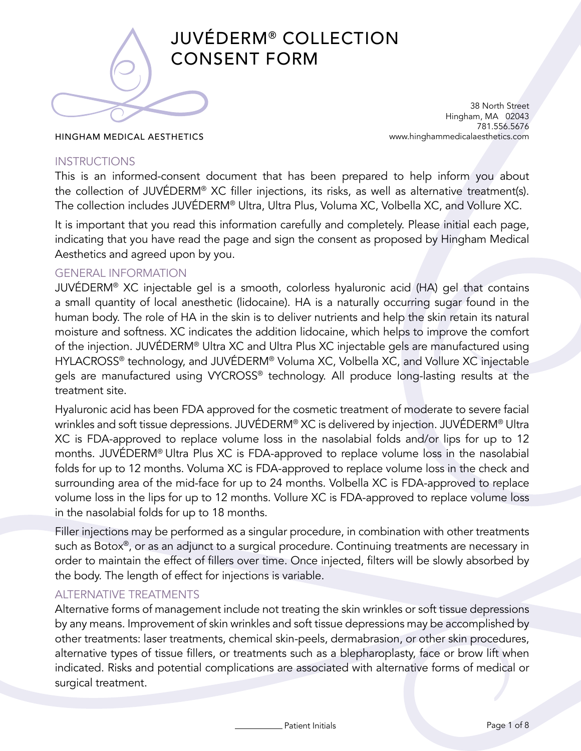

# JUVÉDERM® COLLECTION CONSENT FORM

#### HINGHAM MEDICAL AESTHETICS

38 North Street Hingham, MA 02043 781.556.5676 www.hinghammedicalaesthetics.com

#### **INSTRUCTIONS**

This is an informed-consent document that has been prepared to help inform you about the collection of JUVÉDERM® XC filler injections, its risks, as well as alternative treatment(s). The collection includes JUVÉDERM® Ultra, Ultra Plus, Voluma XC, Volbella XC, and Vollure XC.

It is important that you read this information carefully and completely. Please initial each page, indicating that you have read the page and sign the consent as proposed by Hingham Medical Aesthetics and agreed upon by you.

#### GENERAL INFORMATION

JUVÉDERM® XC injectable gel is a smooth, colorless hyaluronic acid (HA) gel that contains a small quantity of local anesthetic (lidocaine). HA is a naturally occurring sugar found in the human body. The role of HA in the skin is to deliver nutrients and help the skin retain its natural moisture and softness. XC indicates the addition lidocaine, which helps to improve the comfort of the injection. JUVÉDERM® Ultra XC and Ultra Plus XC injectable gels are manufactured using HYLACROSS® technology, and JUVÉDERM® Voluma XC, Volbella XC, and Vollure XC injectable gels are manufactured using VYCROSS® technology. All produce long-lasting results at the treatment site.

Hyaluronic acid has been FDA approved for the cosmetic treatment of moderate to severe facial wrinkles and soft tissue depressions. JUVÉDERM® XC is delivered by injection. JUVÉDERM® Ultra XC is FDA-approved to replace volume loss in the nasolabial folds and/or lips for up to 12 months. JUVÉDERM® Ultra Plus XC is FDA-approved to replace volume loss in the nasolabial folds for up to 12 months. Voluma XC is FDA-approved to replace volume loss in the check and surrounding area of the mid-face for up to 24 months. Volbella XC is FDA-approved to replace volume loss in the lips for up to 12 months. Vollure XC is FDA-approved to replace volume loss in the nasolabial folds for up to 18 months.

Filler injections may be performed as a singular procedure, in combination with other treatments such as Botox®, or as an adjunct to a surgical procedure. Continuing treatments are necessary in order to maintain the effect of fillers over time. Once injected, filters will be slowly absorbed by the body. The length of effect for injections is variable.

#### ALTERNATIVE TREATMENTS

Alternative forms of management include not treating the skin wrinkles or soft tissue depressions by any means. Improvement of skin wrinkles and soft tissue depressions may be accomplished by other treatments: laser treatments, chemical skin-peels, dermabrasion, or other skin procedures, alternative types of tissue fillers, or treatments such as a blepharoplasty, face or brow lift when indicated. Risks and potential complications are associated with alternative forms of medical or surgical treatment.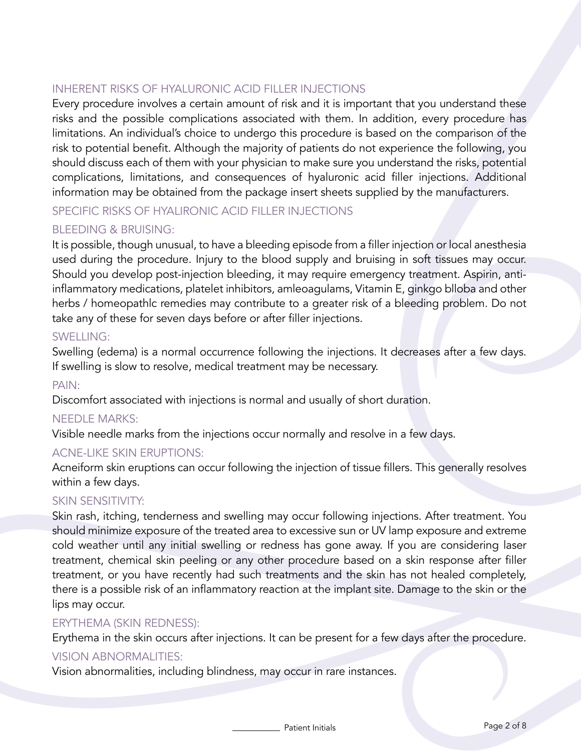# INHERENT RISKS OF HYALURONIC ACID FILLER INJECTIONS

Every procedure involves a certain amount of risk and it is important that you understand these risks and the possible complications associated with them. In addition, every procedure has limitations. An individual's choice to undergo this procedure is based on the comparison of the risk to potential benefit. Although the majority of patients do not experience the following, you should discuss each of them with your physician to make sure you understand the risks, potential complications, limitations, and consequences of hyaluronic acid filler injections. Additional information may be obtained from the package insert sheets supplied by the manufacturers.

# SPECIFIC RISKS OF HYALIRONIC ACID FILLER INJECTIONS

## BLEEDING & BRUISING:

It is possible, though unusual, to have a bleeding episode from a filler injection or local anesthesia used during the procedure. Injury to the blood supply and bruising in soft tissues may occur. Should you develop post-injection bleeding, it may require emergency treatment. Aspirin, antiinflammatory medications, platelet inhibitors, amleoagulams, Vitamin E, ginkgo blloba and other herbs / homeopathlc remedies may contribute to a greater risk of a bleeding problem. Do not take any of these for seven days before or after filler injections.

#### SWELLING:

Swelling (edema) is a normal occurrence following the injections. It decreases after a few days. If swelling is slow to resolve, medical treatment may be necessary.

#### PAIN:

Discomfort associated with injections is normal and usually of short duration.

#### NEEDLE MARKS:

Visible needle marks from the injections occur normally and resolve in a few days.

#### ACNE-LIKE SKIN ERUPTIONS:

Acneiform skin eruptions can occur following the injection of tissue fillers. This generally resolves within a few days.

#### SKIN SENSITIVITY:

Skin rash, itching, tenderness and swelling may occur following injections. After treatment. You should minimize exposure of the treated area to excessive sun or UV lamp exposure and extreme cold weather until any initial swelling or redness has gone away. If you are considering laser treatment, chemical skin peeling or any other procedure based on a skin response after filler treatment, or you have recently had such treatments and the skin has not healed completely, there is a possible risk of an inflammatory reaction at the implant site. Damage to the skin or the lips may occur.

#### ERYTHEMA (SKIN REDNESS):

Erythema in the skin occurs after injections. It can be present for a few days after the procedure.

#### VISION ABNORMALITIES:

Vision abnormalities, including blindness, may occur in rare instances.

Patient Initials **Page 2 of 8**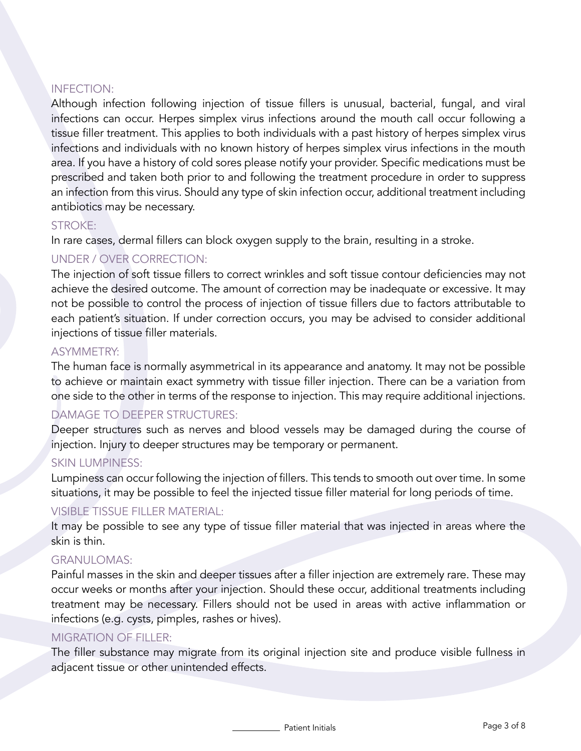## INFECTION:

Although infection following injection of tissue fillers is unusual, bacterial, fungal, and viral infections can occur. Herpes simplex virus infections around the mouth call occur following a tissue filler treatment. This applies to both individuals with a past history of herpes simplex virus infections and individuals with no known history of herpes simplex virus infections in the mouth area. If you have a history of cold sores please notify your provider. Specific medications must be prescribed and taken both prior to and following the treatment procedure in order to suppress an infection from this virus. Should any type of skin infection occur, additional treatment including antibiotics may be necessary.

#### STROKE:

In rare cases, dermal fillers can block oxygen supply to the brain, resulting in a stroke.

# UNDER / OVER CORRECTION:

The injection of soft tissue fillers to correct wrinkles and soft tissue contour deficiencies may not achieve the desired outcome. The amount of correction may be inadequate or excessive. It may not be possible to control the process of injection of tissue fillers due to factors attributable to each patient's situation. If under correction occurs, you may be advised to consider additional injections of tissue filler materials.

## ASYMMETRY:

The human face is normally asymmetrical in its appearance and anatomy. It may not be possible to achieve or maintain exact symmetry with tissue filler injection. There can be a variation from one side to the other in terms of the response to injection. This may require additional injections.

# DAMAGE TO DEEPER STRUCTURES:

Deeper structures such as nerves and blood vessels may be damaged during the course of injection. Injury to deeper structures may be temporary or permanent.

#### SKIN LUMPINESS:

Lumpiness can occur following the injection of fillers. This tends to smooth out over time. In some situations, it may be possible to feel the injected tissue filler material for long periods of time.

#### VISIBLE TISSUE FILLER MATERIAL:

It may be possible to see any type of tissue filler material that was injected in areas where the skin is thin.

#### GRANULOMAS:

Painful masses in the skin and deeper tissues after a filler injection are extremely rare. These may occur weeks or months after your injection. Should these occur, additional treatments including treatment may be necessary. Fillers should not be used in areas with active inflammation or infections (e.g. cysts, pimples, rashes or hives).

#### MIGRATION OF FILLER:

The filler substance may migrate from its original injection site and produce visible fullness in adjacent tissue or other unintended effects.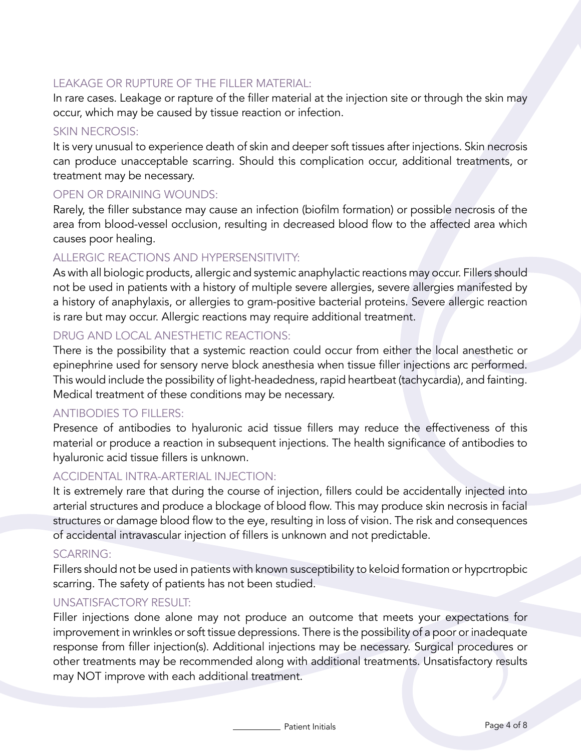## LEAKAGE OR RUPTURE OF THE FILLER MATERIAL:

In rare cases. Leakage or rapture of the filler material at the injection site or through the skin may occur, which may be caused by tissue reaction or infection.

#### SKIN NECROSIS:

It is very unusual to experience death of skin and deeper soft tissues after injections. Skin necrosis can produce unacceptable scarring. Should this complication occur, additional treatments, or treatment may be necessary.

#### OPEN OR DRAINING WOUNDS:

Rarely, the filler substance may cause an infection (biofilm formation) or possible necrosis of the area from blood-vessel occlusion, resulting in decreased blood flow to the affected area which causes poor healing.

#### ALLERGIC REACTIONS AND HYPERSENSITIVITY:

As with all biologic products, allergic and systemic anaphylactic reactions may occur. Fillers should not be used in patients with a history of multiple severe allergies, severe allergies manifested by a history of anaphylaxis, or allergies to gram-positive bacterial proteins. Severe allergic reaction is rare but may occur. Allergic reactions may require additional treatment.

#### DRUG AND LOCAL ANESTHETIC REACTIONS:

There is the possibility that a systemic reaction could occur from either the local anesthetic or epinephrine used for sensory nerve block anesthesia when tissue filler injections arc performed. This would include the possibility of light-headedness, rapid heartbeat (tachycardia), and fainting. Medical treatment of these conditions may be necessary.

#### ANTIBODIES TO FILLERS:

Presence of antibodies to hyaluronic acid tissue fillers may reduce the effectiveness of this material or produce a reaction in subsequent injections. The health significance of antibodies to hyaluronic acid tissue fillers is unknown.

#### ACCIDENTAL INTRA-ARTERIAL INJECTION:

It is extremely rare that during the course of injection, fillers could be accidentally injected into arterial structures and produce a blockage of blood flow. This may produce skin necrosis in facial structures or damage blood flow to the eye, resulting in loss of vision. The risk and consequences of accidental intravascular injection of fillers is unknown and not predictable.

#### SCARRING:

Fillers should not be used in patients with known susceptibility to keloid formation or hypcrtropbic scarring. The safety of patients has not been studied.

#### UNSATISFACTORY RESULT:

Filler injections done alone may not produce an outcome that meets your expectations for improvement in wrinkles or soft tissue depressions. There is the possibility of a poor or inadequate response from filler injection(s). Additional injections may be necessary. Surgical procedures or other treatments may be recommended along with additional treatments. Unsatisfactory results may NOT improve with each additional treatment.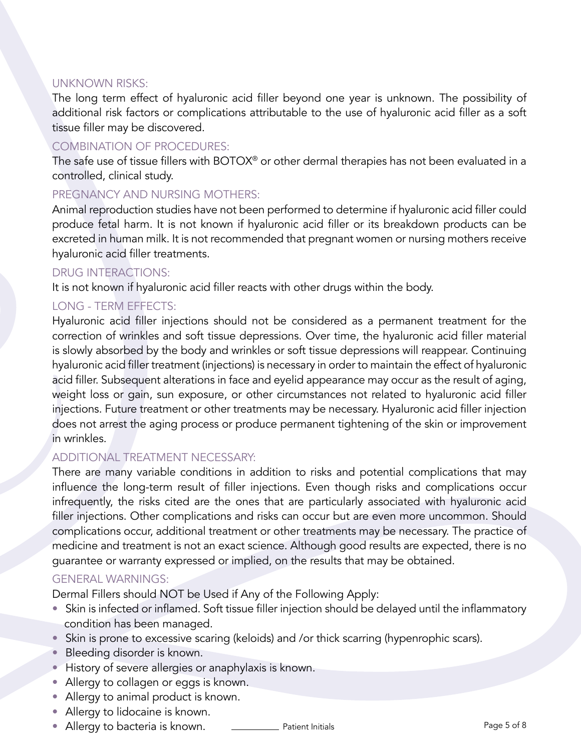#### UNKNOWN RISKS:

The long term effect of hyaluronic acid filler beyond one year is unknown. The possibility of additional risk factors or complications attributable to the use of hyaluronic acid filler as a soft tissue filler may be discovered.

#### COMBINATION OF PROCEDURES:

The safe use of tissue fillers with BOTOX® or other dermal therapies has not been evaluated in a controlled, clinical study.

#### PREGNANCY AND NURSING MOTHERS:

Animal reproduction studies have not been performed to determine if hyaluronic acid filler could produce fetal harm. It is not known if hyaluronic acid filler or its breakdown products can be excreted in human milk. It is not recommended that pregnant women or nursing mothers receive hyaluronic acid filler treatments.

#### DRUG INTERACTIONS:

It is not known if hyaluronic acid filler reacts with other drugs within the body.

## LONG - TERM EFFECTS:

Hyaluronic acid filler injections should not be considered as a permanent treatment for the correction of wrinkles and soft tissue depressions. Over time, the hyaluronic acid filler material is slowly absorbed by the body and wrinkles or soft tissue depressions will reappear. Continuing hyaluronic acid filler treatment (injections) is necessary in order to maintain the effect of hyaluronic acid filler. Subsequent alterations in face and eyelid appearance may occur as the result of aging, weight loss or gain, sun exposure, or other circumstances not related to hyaluronic acid filler injections. Future treatment or other treatments may be necessary. Hyaluronic acid filler injection does not arrest the aging process or produce permanent tightening of the skin or improvement in wrinkles.

#### ADDITIONAL TREATMENT NECESSARY:

There are many variable conditions in addition to risks and potential complications that may influence the long-term result of filler injections. Even though risks and complications occur infrequently, the risks cited are the ones that are particularly associated with hyaluronic acid filler injections. Other complications and risks can occur but are even more uncommon. Should complications occur, additional treatment or other treatments may be necessary. The practice of medicine and treatment is not an exact science. Although good results are expected, there is no guarantee or warranty expressed or implied, on the results that may be obtained.

#### GENERAL WARNINGS:

Dermal Fillers should NOT be Used if Any of the Following Apply:

- Skin is infected or inflamed. Soft tissue filler injection should be delayed until the inflammatory condition has been managed.
- Skin is prone to excessive scaring (keloids) and /or thick scarring (hypenrophic scars).
- Bleeding disorder is known.
- History of severe allergies or anaphylaxis is known.
- Allergy to collagen or eggs is known.
- Allergy to animal product is known.
- Allergy to lidocaine is known.
- Allergy to bacteria is known. <u>\_\_\_\_\_\_\_\_\_\_\_\_\_</u> Patient Initials **Page 5** of 8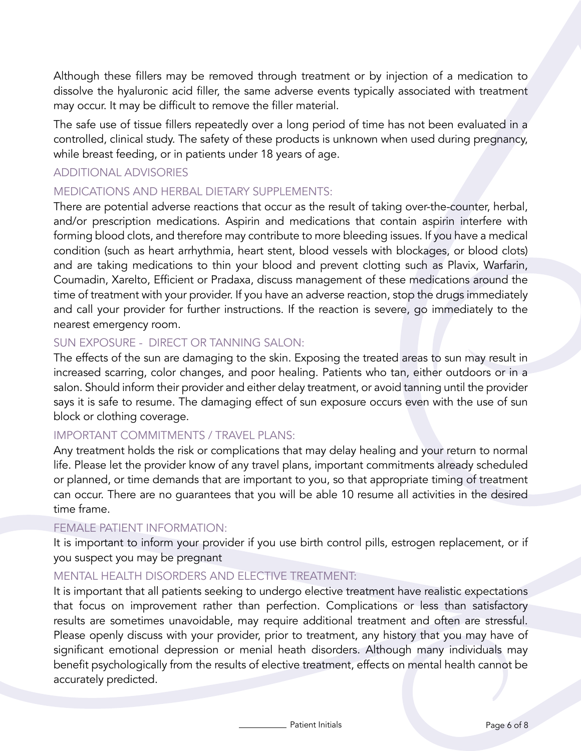Although these fillers may be removed through treatment or by injection of a medication to dissolve the hyaluronic acid filler, the same adverse events typically associated with treatment may occur. It may be difficult to remove the filler material.

The safe use of tissue fillers repeatedly over a long period of time has not been evaluated in a controlled, clinical study. The safety of these products is unknown when used during pregnancy, while breast feeding, or in patients under 18 years of age.

#### ADDITIONAL ADVISORIES

#### MEDICATIONS AND HERBAL DIETARY SUPPLEMENTS:

There are potential adverse reactions that occur as the result of taking over-the-counter, herbal, and/or prescription medications. Aspirin and medications that contain aspirin interfere with forming blood clots, and therefore may contribute to more bleeding issues. If you have a medical condition (such as heart arrhythmia, heart stent, blood vessels with blockages, or blood clots) and are taking medications to thin your blood and prevent clotting such as Plavix, Warfarin, Coumadin, Xarelto, Efficient or Pradaxa, discuss management of these medications around the time of treatment with your provider. If you have an adverse reaction, stop the drugs immediately and call your provider for further instructions. If the reaction is severe, go immediately to the nearest emergency room.

#### SUN EXPOSURE - DIRECT OR TANNING SALON:

The effects of the sun are damaging to the skin. Exposing the treated areas to sun may result in increased scarring, color changes, and poor healing. Patients who tan, either outdoors or in a salon. Should inform their provider and either delay treatment, or avoid tanning until the provider says it is safe to resume. The damaging effect of sun exposure occurs even with the use of sun block or clothing coverage.

# IMPORTANT COMMITMENTS / TRAVEL PLANS:

Any treatment holds the risk or complications that may delay healing and your return to normal life. Please let the provider know of any travel plans, important commitments already scheduled or planned, or time demands that are important to you, so that appropriate timing of treatment can occur. There are no guarantees that you will be able 10 resume all activities in the desired time frame.

#### FEMALE PATIENT INFORMATION:

It is important to inform your provider if you use birth control pills, estrogen replacement, or if you suspect you may be pregnant

## MENTAL HEALTH DISORDERS AND ELECTIVE TREATMENT:

It is important that all patients seeking to undergo elective treatment have realistic expectations that focus on improvement rather than perfection. Complications or less than satisfactory results are sometimes unavoidable, may require additional treatment and often are stressful. Please openly discuss with your provider, prior to treatment, any history that you may have of significant emotional depression or menial heath disorders. Although many individuals may benefit psychologically from the results of elective treatment, effects on mental health cannot be accurately predicted.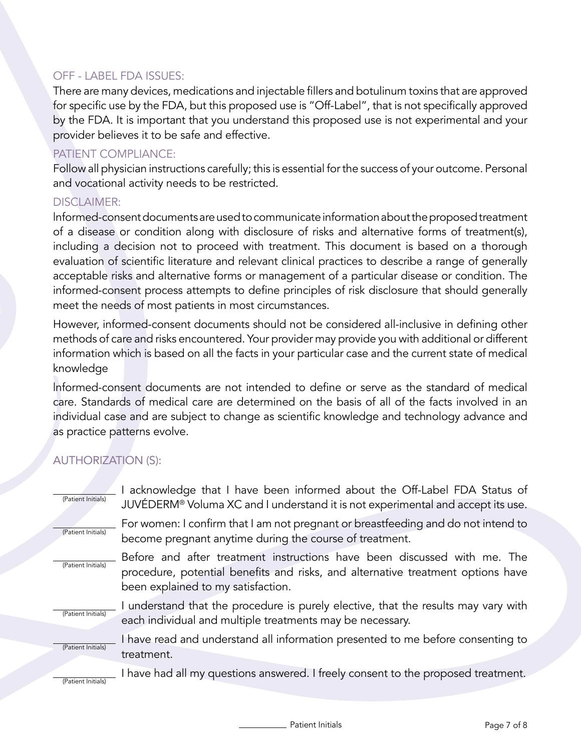## OFF - LABEL FDA ISSUES:

There are many devices, medications and injectable fillers and botulinum toxins that are approved for specific use by the FDA, but this proposed use is "Off-Label", that is not specifically approved by the FDA. It is important that you understand this proposed use is not experimental and your provider believes it to be safe and effective.

## PATIENT COMPLIANCE:

Follow all physician instructions carefully; this is essential for the success of your outcome. Personal and vocational activity needs to be restricted.

#### DISCLAIMER:

lnformed-consent documents are used to communicate information about the proposed treatment of a disease or condition along with disclosure of risks and alternative forms of treatment(s), including a decision not to proceed with treatment. This document is based on a thorough evaluation of scientific literature and relevant clinical practices to describe a range of generally acceptable risks and alternative forms or management of a particular disease or condition. The informed-consent process attempts to define principles of risk disclosure that should generally meet the needs of most patients in most circumstances.

However, informed-consent documents should not be considered all-inclusive in defining other methods of care and risks encountered. Your provider may provide you with additional or different information which is based on all the facts in your particular case and the current state of medical knowledge

lnformed-consent documents are not intended to define or serve as the standard of medical care. Standards of medical care are determined on the basis of all of the facts involved in an individual case and are subject to change as scientific knowledge and technology advance and as practice patterns evolve.

# AUTHORIZATION (S):

| (Patient Initials) | acknowledge that I have been informed about the Off-Label FDA Status of<br>JUVÉDERM <sup>®</sup> Voluma XC and I understand it is not experimental and accept its use.                            |
|--------------------|---------------------------------------------------------------------------------------------------------------------------------------------------------------------------------------------------|
| (Patient Initials) | For women: I confirm that I am not pregnant or breastfeeding and do not intend to<br>become pregnant anytime during the course of treatment.                                                      |
| (Patient Initials) | Before and after treatment instructions have been discussed with me. The<br>procedure, potential benefits and risks, and alternative treatment options have<br>been explained to my satisfaction. |
| (Patient Initials) | I understand that the procedure is purely elective, that the results may vary with<br>each individual and multiple treatments may be necessary.                                                   |
| (Patient Initials) | I have read and understand all information presented to me before consenting to<br>treatment.                                                                                                     |
| (Patient Initials) | I have had all my questions answered. I freely consent to the proposed treatment.                                                                                                                 |

Patient Initials **Page 7 of 8**